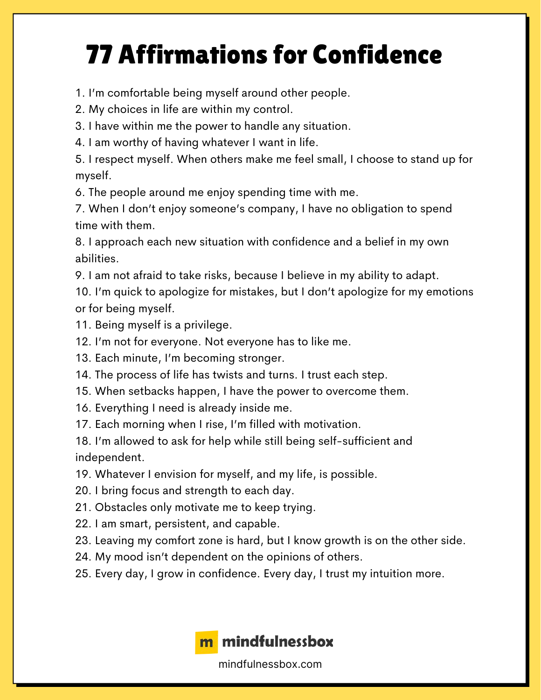## 77 Affirmations for Confidence

1. I'm comfortable being myself around other people.

2. My choices in life are within my control.

3. I have within me the power to handle any situation.

4. I am worthy of having whatever I want in life.

5. I respect myself. When others make me feel small, I choose to stand up for myself.

6. The people around me enjoy spending time with me.

7. When I don't enjoy someone's company, I have no obligation to spend time with them.

8. I approach each new situation with confidence and a belief in my own abilities.

9. I am not afraid to take risks, because I believe in my ability to adapt.

10. I'm quick to apologize for mistakes, but I don't apologize for my emotions or for being myself.

11. Being myself is a privilege.

12. I'm not for everyone. Not everyone has to like me.

13. Each minute, I'm becoming stronger.

14. The process of life has twists and turns. I trust each step.

15. When setbacks happen, I have the power to overcome them.

16. Everything I need is already inside me.

17. Each morning when I rise, I'm filled with motivation.

18. I'm allowed to ask for help while still being self-sufficient and independent.

19. Whatever I envision for myself, and my life, is possible.

20. I bring focus and strength to each day.

21. Obstacles only motivate me to keep trying.

22. I am smart, persistent, and capable.

23. Leaving my comfort zone is hard, but I know growth is on the other side.

24. My mood isn't dependent on the opinions of others.

25. Every day, I grow in confidence. Every day, I trust my intuition more.



mindfulnessbox.com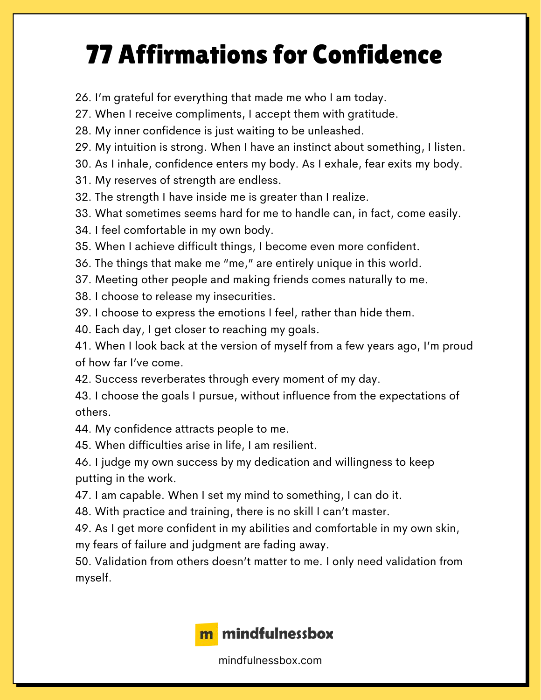## 77 Affirmations for Confidence

26. I'm grateful for everything that made me who I am today.

27. When I receive compliments, I accept them with gratitude.

28. My inner confidence is just waiting to be unleashed.

29. My intuition is strong. When I have an instinct about something, I listen.

30. As I inhale, confidence enters my body. As I exhale, fear exits my body.

31. My reserves of strength are endless.

32. The strength I have inside me is greater than I realize.

33. What sometimes seems hard for me to handle can, in fact, come easily.

34. I feel comfortable in my own body.

35. When I achieve difficult things, I become even more confident.

36. The things that make me "me," are entirely unique in this world.

37. Meeting other people and making friends comes naturally to me.

38. I choose to release my insecurities.

39. I choose to express the emotions I feel, rather than hide them.

40. Each day, I get closer to reaching my goals.

41. When I look back at the version of myself from a few years ago, I'm proud of how far I've come.

42. Success reverberates through every moment of my day.

43. I choose the goals I pursue, without influence from the expectations of others.

44. My confidence attracts people to me.

45. When difficulties arise in life, I am resilient.

46. I judge my own success by my dedication and willingness to keep putting in the work.

47. I am capable. When I set my mind to something, I can do it.

48. With practice and training, there is no skill I can't master.

49. As I get more confident in my abilities and comfortable in my own skin,

my fears of failure and judgment are fading away.

50. Validation from others doesn't matter to me. I only need validation from myself.



mindfulnessbox.com